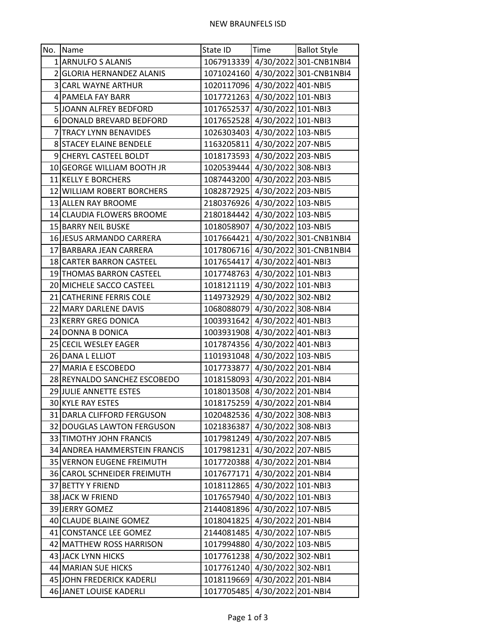| No. Name                      | State ID                      | <b>Time</b> | <b>Ballot Style</b>               |
|-------------------------------|-------------------------------|-------------|-----------------------------------|
| 1 ARNULFO S ALANIS            |                               |             | 1067913339 4/30/2022 301-CNB1NBI4 |
| 2 GLORIA HERNANDEZ ALANIS     |                               |             | 1071024160 4/30/2022 301-CNB1NBI4 |
| 3 CARL WAYNE ARTHUR           | 1020117096 4/30/2022 401-NBI5 |             |                                   |
| 4 PAMELA FAY BARR             | 1017721263 4/30/2022 101-NBI3 |             |                                   |
| 5 JOANN ALFREY BEDFORD        | 1017652537 4/30/2022 101-NBI3 |             |                                   |
| 6 DONALD BREVARD BEDFORD      | 1017652528 4/30/2022 101-NBI3 |             |                                   |
| 7 TRACY LYNN BENAVIDES        | 1026303403 4/30/2022 103-NBI5 |             |                                   |
| 8 STACEY ELAINE BENDELE       | 1163205811 4/30/2022 207-NBI5 |             |                                   |
| 9 CHERYL CASTEEL BOLDT        | 1018173593 4/30/2022 203-NBI5 |             |                                   |
| 10 GEORGE WILLIAM BOOTH JR    | 1020539444 4/30/2022 308-NBI3 |             |                                   |
| 11 KELLY E BORCHERS           | 1087443200 4/30/2022 203-NBI5 |             |                                   |
| 12 WILLIAM ROBERT BORCHERS    | 1082872925 4/30/2022 203-NBI5 |             |                                   |
| 13 ALLEN RAY BROOME           | 2180376926 4/30/2022 103-NBI5 |             |                                   |
| 14 CLAUDIA FLOWERS BROOME     | 2180184442 4/30/2022 103-NBI5 |             |                                   |
| 15 BARRY NEIL BUSKE           | 1018058907 4/30/2022 103-NBI5 |             |                                   |
| 16 JESUS ARMANDO CARRERA      |                               |             | 1017664421 4/30/2022 301-CNB1NBI4 |
| 17 BARBARA JEAN CARRERA       |                               |             | 1017806716 4/30/2022 301-CNB1NBI4 |
| 18 CARTER BARRON CASTEEL      | 1017654417 4/30/2022 401-NBI3 |             |                                   |
| 19 THOMAS BARRON CASTEEL      | 1017748763 4/30/2022 101-NBI3 |             |                                   |
| 20 MICHELE SACCO CASTEEL      | 1018121119 4/30/2022 101-NBI3 |             |                                   |
| 21 CATHERINE FERRIS COLE      | 1149732929 4/30/2022 302-NBI2 |             |                                   |
| 22 MARY DARLENE DAVIS         | 1068088079 4/30/2022 308-NBI4 |             |                                   |
| 23 KERRY GREG DONICA          | 1003931642 4/30/2022 401-NBI3 |             |                                   |
| 24 DONNA B DONICA             | 1003931908 4/30/2022 401-NBI3 |             |                                   |
| 25 CECIL WESLEY EAGER         | 1017874356 4/30/2022 401-NBI3 |             |                                   |
| 26 DANA L ELLIOT              | 1101931048 4/30/2022 103-NBI5 |             |                                   |
| 27 MARIA E ESCOBEDO           | 1017733877 4/30/2022 201-NBI4 |             |                                   |
| 28 REYNALDO SANCHEZ ESCOBEDO  | 1018158093 4/30/2022 201-NBI4 |             |                                   |
| 29 JULIE ANNETTE ESTES        | 1018013508 4/30/2022 201-NBI4 |             |                                   |
| 30 KYLE RAY ESTES             | 1018175259 4/30/2022 201-NBI4 |             |                                   |
| 31 DARLA CLIFFORD FERGUSON    | 1020482536 4/30/2022 308-NBI3 |             |                                   |
| 32 DOUGLAS LAWTON FERGUSON    | 1021836387 4/30/2022 308-NBI3 |             |                                   |
| 33 TIMOTHY JOHN FRANCIS       | 1017981249 4/30/2022 207-NBI5 |             |                                   |
| 34 ANDREA HAMMERSTEIN FRANCIS | 1017981231 4/30/2022 207-NBI5 |             |                                   |
| 35 VERNON EUGENE FREIMUTH     | 1017720388 4/30/2022 201-NBI4 |             |                                   |
| 36 CAROL SCHNEIDER FREIMUTH   | 1017677171 4/30/2022 201-NBI4 |             |                                   |
| 37 BETTY Y FRIEND             | 1018112865 4/30/2022 101-NBI3 |             |                                   |
| 38 JACK W FRIEND              | 1017657940 4/30/2022 101-NBI3 |             |                                   |
| 39 JERRY GOMEZ                | 2144081896 4/30/2022 107-NBI5 |             |                                   |
| 40 CLAUDE BLAINE GOMEZ        | 1018041825 4/30/2022 201-NBI4 |             |                                   |
| 41 CONSTANCE LEE GOMEZ        | 2144081485 4/30/2022 107-NBI5 |             |                                   |
| 42 MATTHEW ROSS HARRISON      | 1017994880 4/30/2022 103-NBI5 |             |                                   |
| 43 JACK LYNN HICKS            | 1017761238 4/30/2022 302-NBI1 |             |                                   |
| 44 MARIAN SUE HICKS           | 1017761240 4/30/2022 302-NBI1 |             |                                   |
| 45 JOHN FREDERICK KADERLI     | 1018119669 4/30/2022 201-NBI4 |             |                                   |
| 46 JANET LOUISE KADERLI       | 1017705485 4/30/2022 201-NBI4 |             |                                   |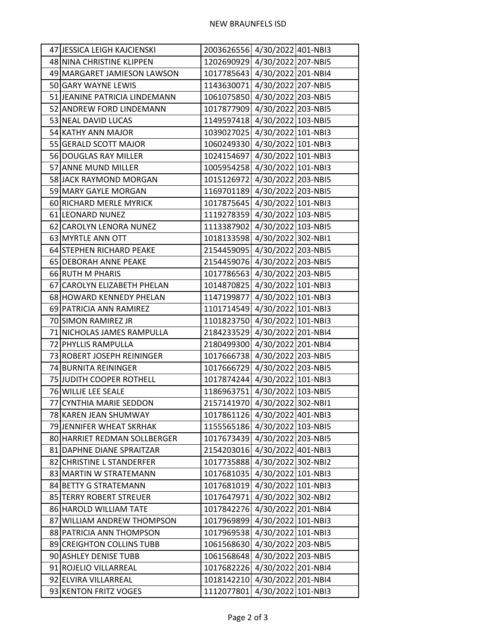| 47 JESSICA LEIGH KAJCIENSKI   | 2003626556 4/30/2022 401-NBI3 |
|-------------------------------|-------------------------------|
| 48 NINA CHRISTINE KLIPPEN     | 1202690929 4/30/2022 207-NBI5 |
| 49 MARGARET JAMIESON LAWSON   | 1017785643 4/30/2022 201-NBI4 |
| 50 GARY WAYNE LEWIS           | 1143630071 4/30/2022 207-NBI5 |
| 51 JEANINE PATRICIA LINDEMANN | 1061075850 4/30/2022 203-NBI5 |
| 52 ANDREW FORD LINDEMANN      | 1017877909 4/30/2022 203-NBI5 |
| 53 NEAL DAVID LUCAS           | 1149597418 4/30/2022 103-NBI5 |
| 54 KATHY ANN MAJOR            | 1039027025 4/30/2022 101-NBI3 |
| 55 GERALD SCOTT MAJOR         | 1060249330 4/30/2022 101-NBI3 |
| 56 DOUGLAS RAY MILLER         | 1024154697 4/30/2022 101-NBI3 |
| 57 ANNE MUND MILLER           | 1005954258 4/30/2022 101-NBI3 |
| 58 JACK RAYMOND MORGAN        | 1015126972 4/30/2022 203-NBI5 |
| 59 MARY GAYLE MORGAN          | 1169701189 4/30/2022 203-NBI5 |
| 60 RICHARD MERLE MYRICK       | 1017875645 4/30/2022 101-NBI3 |
| 61 LEONARD NUNEZ              | 1119278359 4/30/2022 103-NBI5 |
| 62 CAROLYN LENORA NUNEZ       | 1113387902 4/30/2022 103-NBI5 |
| 63 MYRTLE ANN OTT             | 1018133598 4/30/2022 302-NBI1 |
| 64 STEPHEN RICHARD PEAKE      | 2154459095 4/30/2022 203-NBI5 |
| 65 DEBORAH ANNE PEAKE         | 2154459076 4/30/2022 203-NBI5 |
| 66 RUTH M PHARIS              | 1017786563 4/30/2022 203-NBI5 |
| 67 CAROLYN ELIZABETH PHELAN   | 1014870825 4/30/2022 101-NBI3 |
| 68 HOWARD KENNEDY PHELAN      | 1147199877 4/30/2022 101-NBI3 |
| 69 PATRICIA ANN RAMIREZ       | 1101714549 4/30/2022 101-NBI3 |
| 70 SIMON RAMIREZ JR           | 1101823750 4/30/2022 101-NBI3 |
| 71 NICHOLAS JAMES RAMPULLA    | 2184233529 4/30/2022 201-NBI4 |
| 72 PHYLLIS RAMPULLA           | 2180499300 4/30/2022 201-NBI4 |
| 73 ROBERT JOSEPH REININGER    | 1017666738 4/30/2022 203-NBI5 |
| 74 BURNITA REININGER          | 1017666729 4/30/2022 203-NBI5 |
| 75 JUDITH COOPER ROTHELL      | 1017874244 4/30/2022 101-NBI3 |
| 76 WILLIE LEE SEALE           | 1186963751 4/30/2022 103-NBI5 |
| 77 CYNTHIA MARIE SEDDON       | 2157141970 4/30/2022 302-NBI1 |
| 78 KAREN JEAN SHUMWAY         | 1017861126 4/30/2022 401-NBI3 |
| 79 JENNIFER WHEAT SKRHAK      | 1155565186 4/30/2022 103-NBI5 |
| 80 HARRIET REDMAN SOLLBERGER  | 1017673439 4/30/2022 203-NBI5 |
| 81 DAPHNE DIANE SPRAITZAR     | 2154203016 4/30/2022 401-NBI3 |
| 82 CHRISTINE L STANDERFER     | 1017735888 4/30/2022 302-NBI2 |
| 83 MARTIN W STRATEMANN        | 1017681035 4/30/2022 101-NBI3 |
| 84 BETTY G STRATEMANN         | 1017681019 4/30/2022 101-NBI3 |
| 85 TERRY ROBERT STREUER       | 1017647971 4/30/2022 302-NBI2 |
| 86 HAROLD WILLIAM TATE        | 1017842276 4/30/2022 201-NBI4 |
| 87 WILLIAM ANDREW THOMPSON    | 1017969899 4/30/2022 101-NBI3 |
| 88 PATRICIA ANN THOMPSON      | 1017969538 4/30/2022 101-NBI3 |
| 89 CREIGHTON COLLINS TUBB     | 1061568630 4/30/2022 203-NBI5 |
| 90 ASHLEY DENISE TUBB         | 1061568648 4/30/2022 203-NBI5 |
| 91 ROJELIO VILLARREAL         | 1017682226 4/30/2022 201-NBI4 |
| 92 ELVIRA VILLARREAL          | 1018142210 4/30/2022 201-NBI4 |
| 93 KENTON FRITZ VOGES         | 1112077801 4/30/2022 101-NBI3 |